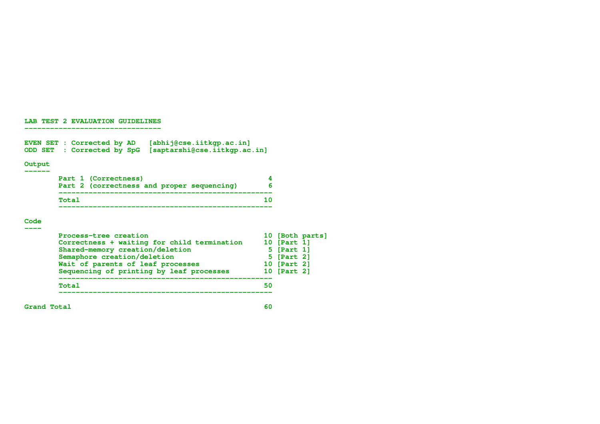## **LAB TEST 2 EVALUATION GUIDELINES --------------------------------**

**EVEN SET : Corrected by AD [abhij@cse.iitkgp.ac.in] ODD SET : Corrected by SpG [saptarshi@cse.iitkgp.ac.in]**

## **Output ------**

|       | Part 1 (Correctness)                       |  |  |
|-------|--------------------------------------------|--|--|
|       | Part 2 (correctness and proper sequencing) |  |  |
| Total |                                            |  |  |
|       |                                            |  |  |

## **Code ----**

| Process-tree creation<br>Correctness + waiting for child termination |    | 10 [Part 1] | 10 [Both parts] |
|----------------------------------------------------------------------|----|-------------|-----------------|
| Shared-memory creation/deletion                                      |    | 5 [Part 1]  |                 |
| Semaphore creation/deletion                                          |    | 5 [Part 2]  |                 |
| Wait of parents of leaf processes                                    |    | 10 [Part 2] |                 |
| Sequencing of printing by leaf processes                             |    | 10 [Part 2] |                 |
| Total                                                                | 50 |             |                 |
|                                                                      |    |             |                 |

**Grand Total 60**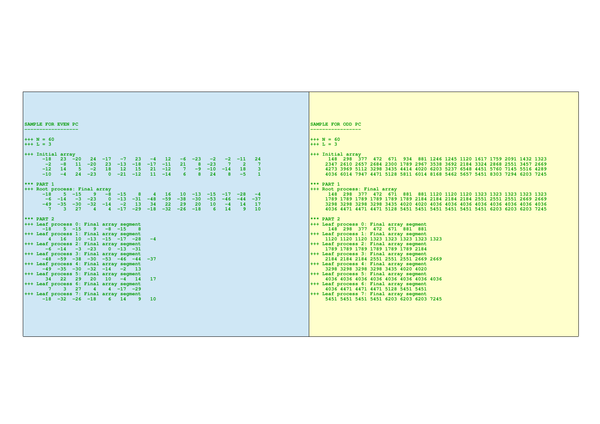```
SAMPLE FOR EVEN PC
------------------
+++ N = 60
+++ L = 3
+++ Initial array
      -18 23 -20 24 -17 -7 23 -4 12 -6 -23 -2 -2 -11 24
       -2 -8 11 -20 23 -13 -18 -17 -11 21 8 -23 7 2 7
      -12 14 5 -2 18 12 15 21 -12 7 -9 -10 -14 18 3
     -10 -4 24 -23 0 -21 -12 11 -14*** PART 1
+++ Root process: Final array
      -18 5 -15 9 -8 -15 8 4 16 10 -13 -15 -17 -28 -4
       -6 -14 -3 -23 0 -13 -31 -48 -59 -38 -30 -53 -46 -44 -37
 -49 -35 -30 -32 -14 -2 13 34 22 29 20 10 -4 14 17
 7 3 27 4 4 -17 -29 -18 -32 -26 -18 6 14 9 10
*** PART 2
+++ Leaf process 0: Final array segment
      -18 5 -15 9 -8 -15 8
+++ Leaf process 1: Final array segment
      4 16 10 -13 -15 -17 -28 -4
+++ Leaf process 2: Final array segment
     -6 -14 -3 -23 0 -13 -31+++ Leaf process 3: Final array segment
     -48 -59 -38 -30 -53 -46 -44 -37
+++ Leaf process 4: Final array segment
    -49 -35 -30 -32 -14 -2 13
+++ Leaf process 5: Final array segment
     34 22 29 20 10 -4 14 17
+++ Leaf process 6: Final array segment
       7 3 27 4 4 -17 -29
+++ Leaf process 7: Final array segment
      -18 -32 -26 -18 6 14 9 10
                                                                                        SAMPLE FOR ODD PC
                                                                                        -----------------
                                                                                        +++ N = 60
                                                                                        +++ L = 3
                                                                                        +++ Initial array
                                                                                              148 298 377 472 671 934 881 1246 1245 1120 1617 1759 2091 1432 1323
                                                                                              2347 2610 2657 2684 2300 1789 2967 3538 3692 2184 3324 2868 2551 3457 2669
                                                                                             4273 3969 5112 3298 3435 4414 4020 6203 5237 6548 4451 5760 7145 5516 4289
                                                                                             4036 6014 7947 4471 5128 5811 6014 8168 5462 5657 5451 8303 7294 6203 7245
                                                                                        *** PART 1
                                                                                        +++ Root process: Final array
                                                                                              148 298 377 472 671 881 881 1120 1120 1120 1323 1323 1323 1323 1323
                                                                                             1789 1789 1789 1789 1789 1789 2184 2184 2184 2184 2551 2551 2551 2669 2669
                                                                                             3298 3298 3298 3298 3435 4020 4020 4036 4036 4036 4036 4036 4036 4036 4036
                                                                                             4036 4471 4471 4471 5128 5451 5451 5451 5451 5451 5451 6203 6203 6203 7245
                                                                                        *** PART 2
                                                                                        +++ Leaf process 0: Final array segment
                                                                                              148 298 377 472 671 881 881
                                                                                        +++ Leaf process 1: Final array segment
                                                                                             1120 1120 1120 1323 1323 1323 1323 1323
                                                                                        +++ Leaf process 2: Final array segment
                                                                                             1789 1789 1789 1789 1789 1789 2184
                                                                                        +++ Leaf process 3: Final array segment
                                                                                             2184 2184 2184 2551 2551 2551 2669 2669
                                                                                        +++ Leaf process 4: Final array segment
                                                                                             3298 3298 3298 3298 3435 4020 4020
                                                                                        +++ Leaf process 5: Final array segment
                                                                                             4036 4036 4036 4036 4036 4036 4036 4036
                                                                                        +++ Leaf process 6: Final array segment
                                                                                             4036 4471 4471 4471 5128 5451 5451
                                                                                        +++ Leaf process 7: Final array segment
                                                                                             5451 5451 5451 5451 6203 6203 6203 7245
```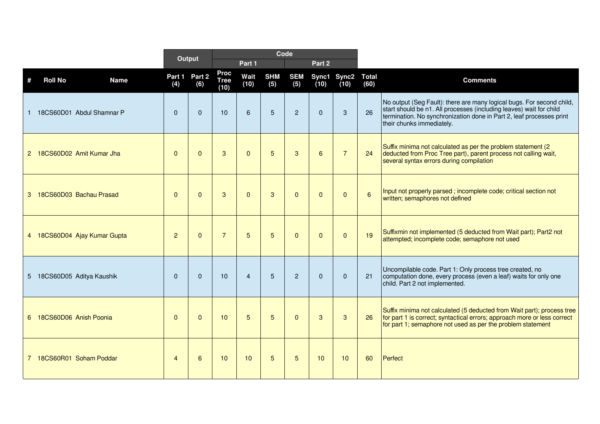|   |                               |                | Output        |                                    |                |                   | Code              |                |                     |                      |                                                                                                                                                                                                                                                   |
|---|-------------------------------|----------------|---------------|------------------------------------|----------------|-------------------|-------------------|----------------|---------------------|----------------------|---------------------------------------------------------------------------------------------------------------------------------------------------------------------------------------------------------------------------------------------------|
|   |                               |                |               |                                    | Part 1         |                   |                   | Part 2         |                     |                      |                                                                                                                                                                                                                                                   |
| # | <b>Roll No</b><br><b>Name</b> | Part 1<br>(4)  | Part 2<br>(6) | <b>Proc</b><br><b>Tree</b><br>(10) | Wait<br>(10)   | <b>SHM</b><br>(5) | <b>SEM</b><br>(5) | (10)           | Sync1 Sync2<br>(10) | <b>Total</b><br>(60) | <b>Comments</b>                                                                                                                                                                                                                                   |
| 1 | 18CS60D01 Abdul Shamnar P     | $\Omega$       | $\Omega$      | 10                                 | 6              | $5\phantom{.}$    | $\overline{2}$    | $\mathbf 0$    | 3                   | 26                   | No output (Seg Fault): there are many logical bugs. For second child,<br>start should be n1. All processes (including leaves) wait for child<br>termination. No synchronization done in Part 2, leaf processes print<br>their chunks immediately. |
|   | 2 18CS60D02 Amit Kumar Jha    | $\Omega$       | $\Omega$      | $\mathbf{3}$                       | $\mathbf{0}$   | 5                 | 3                 | $6\phantom{1}$ | $\overline{7}$      | 24                   | Suffix minima not calculated as per the problem statement (2)<br>deducted from Proc Tree part), parent process not calling wait,<br>several syntax errors during compilation                                                                      |
|   | 3 18CS60D03 Bachau Prasad     | $\mathbf{0}$   | $\Omega$      | 3                                  | $\mathbf{0}$   | 3                 | $\Omega$          | $\Omega$       | $\Omega$            | $6\overline{6}$      | Input not properly parsed; incomplete code; critical section not<br>written; semaphores not defined                                                                                                                                               |
|   | 4 18CS60D04 Ajay Kumar Gupta  | $\overline{2}$ | $\Omega$      | $\overline{7}$                     | 5              | 5                 | $\Omega$          | $\Omega$       | $\Omega$            | 19                   | Suffixmin not implemented (5 deducted from Wait part); Part2 not<br>attempted; incomplete code; semaphore not used                                                                                                                                |
|   | 5 18CS60D05 Aditya Kaushik    | $\Omega$       | $\Omega$      | 10                                 | $\overline{4}$ | 5                 | 2                 | $\mathbf 0$    | $\Omega$            | 21                   | Uncompilable code. Part 1: Only process tree created, no<br>computation done, every process (even a leaf) waits for only one<br>child. Part 2 not implemented.                                                                                    |
|   | 6 18CS60D06 Anish Poonia      | $\Omega$       | $\Omega$      | 10 <sup>1</sup>                    | $\overline{5}$ | 5                 | $\Omega$          | 3              | 3                   | 26                   | Suffix minima not calculated (5 deducted from Wait part); process tree<br>for part 1 is correct; syntactical errors; approach more or less correct<br>for part 1; semaphore not used as per the problem statement                                 |
|   | 7 18CS60R01 Soham Poddar      | $\overline{4}$ | 6             | 10                                 | 10             | 5                 | 5                 | 10             | 10                  | 60                   | Perfect                                                                                                                                                                                                                                           |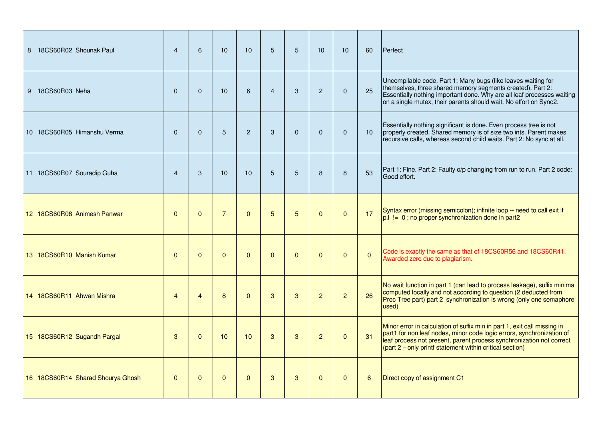| 8 18CS60R02 Shounak Paul          | $\overline{4}$ | 6              | 10             | 10             | 5              | 5        | 10             | 10             | 60             | Perfect                                                                                                                                                                                                                                                                               |
|-----------------------------------|----------------|----------------|----------------|----------------|----------------|----------|----------------|----------------|----------------|---------------------------------------------------------------------------------------------------------------------------------------------------------------------------------------------------------------------------------------------------------------------------------------|
| 9 18CS60R03 Neha                  | $\Omega$       | $\Omega$       | 10             | $6\phantom{1}$ | $\overline{4}$ | 3        | $\overline{2}$ | $\Omega$       | 25             | Uncompilable code. Part 1: Many bugs (like leaves waiting for<br>themselves, three shared memory segments created). Part 2:<br>Essentially nothing important done. Why are all leaf processes waiting<br>on a single mutex, their parents should wait. No effort on Sync2.            |
| 10 18CS60R05 Himanshu Verma       | $\Omega$       | $\Omega$       | 5              | $\overline{2}$ | 3              | $\Omega$ | $\Omega$       | $\Omega$       | 10             | Essentially nothing significant is done. Even process tree is not<br>properly created. Shared memory is of size two ints. Parent makes<br>recursive calls, whereas second child waits. Part 2: No sync at all.                                                                        |
| 11 18CS60R07 Souradip Guha        | $\overline{4}$ | 3              | 10             | 10             | 5              | 5        | 8              | 8              | 53             | Part 1: Fine. Part 2: Faulty o/p changing from run to run. Part 2 code:<br>Good effort.                                                                                                                                                                                               |
| 12 18CS60R08 Animesh Panwar       | $\mathbf{0}$   | $\Omega$       | $\overline{7}$ | $\Omega$       | 5              | 5        | $\mathbf{0}$   | $\Omega$       | 17             | Syntax error (missing semicolon); infinite loop -- need to call exit if<br>$p.1 = 0$ ; no proper synchronization done in part2                                                                                                                                                        |
| 13 18CS60R10 Manish Kumar         | $\mathbf{0}$   | $\mathbf{0}$   | $\Omega$       | $\Omega$       | $\Omega$       | $\Omega$ | $\Omega$       | $\Omega$       | $\overline{0}$ | Code is exactly the same as that of 18CS60R56 and 18CS60R41.<br>Awarded zero due to plagiarism.                                                                                                                                                                                       |
| 14 18CS60R11 Ahwan Mishra         | $\overline{4}$ | $\overline{4}$ | 8              | $\Omega$       | 3              | 3        | $\overline{2}$ | $\overline{2}$ | 26             | No wait function in part 1 (can lead to process leakage), suffix minima<br>computed locally and not according to question (2 deducted from<br>Proc Tree part) part 2 synchronization is wrong (only one semaphore<br>used)                                                            |
| 15 18CS60R12 Sugandh Pargal       | 3              | $\Omega$       | 10             | 10             | 3              | 3        | $\overline{2}$ | $\Omega$       | 31             | Minor error in calculation of suffix min in part 1, exit call missing in<br>part1 for non leaf nodes, minor code logic errors, synchronization of<br>leaf process not present, parent process synchronization not correct<br>(part 2 - only printf statement within critical section) |
| 16 18CS60R14 Sharad Shourya Ghosh | $\mathbf{0}$   | $\Omega$       | $\Omega$       | $\Omega$       | 3              | 3        | $\Omega$       | $\Omega$       | 6              | Direct copy of assignment C1                                                                                                                                                                                                                                                          |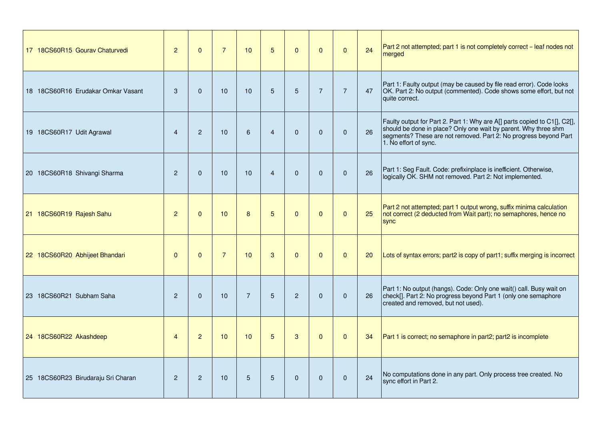| 17 18CS60R15 Gourav Chaturvedi     | 2              | $\Omega$       | $\overline{7}$  | 10             | 5              | $\Omega$       | $\mathbf{0}$   | $\Omega$       | 24 | Part 2 not attempted; part 1 is not completely correct – leaf nodes not<br>merged                                                                                                                                                         |
|------------------------------------|----------------|----------------|-----------------|----------------|----------------|----------------|----------------|----------------|----|-------------------------------------------------------------------------------------------------------------------------------------------------------------------------------------------------------------------------------------------|
| 18 18CS60R16 Erudakar Omkar Vasant | 3              | $\Omega$       | 10              | 10             | 5              | 5              | $\overline{7}$ | $\overline{7}$ | 47 | Part 1: Faulty output (may be caused by file read error). Code looks<br>OK. Part 2: No output (commented). Code shows some effort, but not<br>quite correct.                                                                              |
| 19 18CS60R17 Udit Agrawal          | $\overline{4}$ | $\overline{2}$ | 10 <sup>1</sup> | 6              | $\overline{4}$ | $\Omega$       | $\Omega$       | $\mathbf{0}$   | 26 | Faulty output for Part 2. Part 1: Why are A[] parts copied to C1[], C2[],<br>should be done in place? Only one wait by parent. Why three shm<br>segments? These are not removed. Part 2: No progress beyond Part<br>1. No effort of sync. |
| 20 18CS60R18 Shivangi Sharma       | $\overline{2}$ | $\Omega$       | 10 <sup>1</sup> | 10             | $\overline{4}$ | $\Omega$       | $\Omega$       | $\Omega$       | 26 | Part 1: Seg Fault. Code: prefixinplace is inefficient. Otherwise,<br>logically OK. SHM not removed. Part 2: Not implemented.                                                                                                              |
| 21 18CS60R19 Rajesh Sahu           | $\overline{c}$ | $\Omega$       | 10              | 8              | 5              | $\Omega$       | $\mathbf 0$    | $\mathbf{0}$   | 25 | Part 2 not attempted; part 1 output wrong, suffix minima calculation<br>not correct (2 deducted from Wait part); no semaphores, hence no<br>sync                                                                                          |
| 22 18CS60R20 Abhijeet Bhandari     | $\mathbf{0}$   | $\Omega$       | $\overline{7}$  | 10             | 3              | $\mathbf{0}$   | $\mathbf 0$    | $\mathbf{0}$   | 20 | Lots of syntax errors; part2 is copy of part1; suffix merging is incorrect                                                                                                                                                                |
| 23 18CS60R21 Subham Saha           | $\overline{2}$ | $\Omega$       | 10              | $\overline{7}$ | 5              | $\overline{2}$ | $\Omega$       | $\Omega$       | 26 | Part 1: No output (hangs). Code: Only one wait() call. Busy wait on<br>check[]. Part 2: No progress beyond Part 1 (only one semaphore<br>created and removed, but not used).                                                              |
| 24 18CS60R22 Akashdeep             | $\overline{4}$ | $\overline{2}$ | 10 <sup>1</sup> | 10             | 5              | 3              | $\mathbf{0}$   | $\Omega$       | 34 | Part 1 is correct; no semaphore in part2; part2 is incomplete                                                                                                                                                                             |
| 25 18CS60R23 Birudaraju Sri Charan | $\overline{2}$ | $\overline{2}$ | 10 <sup>1</sup> | 5              | 5              | $\Omega$       | $\mathbf{0}$   | $\mathbf{0}$   | 24 | No computations done in any part. Only process tree created. No<br>sync effort in Part 2.                                                                                                                                                 |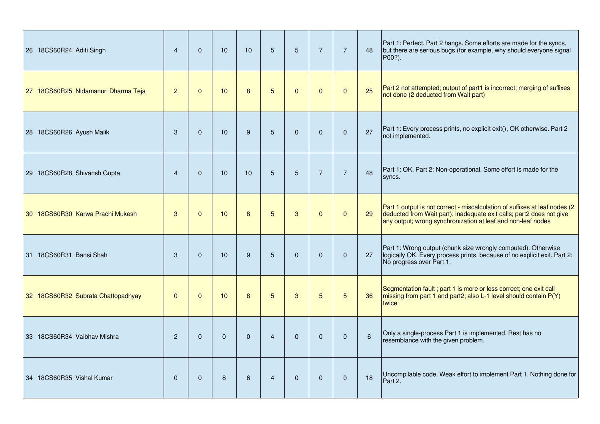| 26 18CS60R24 Aditi Singh            | $\overline{4}$ | $\Omega$     | 10 <sup>1</sup> | 10           | 5              | 5            | $\overline{7}$ | $\overline{7}$ | 48             | Part 1: Perfect. Part 2 hangs. Some efforts are made for the syncs,<br>but there are serious bugs (for example, why should everyone signal<br>P00?).                                                               |
|-------------------------------------|----------------|--------------|-----------------|--------------|----------------|--------------|----------------|----------------|----------------|--------------------------------------------------------------------------------------------------------------------------------------------------------------------------------------------------------------------|
| 27 18CS60R25 Nidamanuri Dharma Teja | $\overline{c}$ | $\Omega$     | 10 <sup>1</sup> | 8            | 5              | $\mathbf{0}$ | $\mathbf{0}$   | $\mathbf{0}$   | 25             | Part 2 not attempted; output of part1 is incorrect; merging of suffixes<br>not done (2 deducted from Wait part)                                                                                                    |
| 28 18CS60R26 Ayush Malik            | 3              | $\Omega$     | 10 <sup>1</sup> | 9            | 5              | $\Omega$     | $\Omega$       | $\mathbf 0$    | 27             | Part 1: Every process prints, no explicit exit(), OK otherwise. Part 2<br>not implemented.                                                                                                                         |
| 29 18CS60R28 Shivansh Gupta         | $\overline{4}$ | $\Omega$     | 10              | 10           | 5              | 5            | $\overline{7}$ | $\overline{7}$ | 48             | Part 1: OK. Part 2: Non-operational. Some effort is made for the<br>syncs.                                                                                                                                         |
| 30 18CS60R30 Karwa Prachi Mukesh    | 3              | $\mathbf{0}$ | 10              | 8            | 5              | 3            | $\bullet$      | $\mathbf 0$    | 29             | Part 1 output is not correct - miscalculation of suffixes at leaf nodes (2<br>deducted from Wait part); inadequate exit calls; part2 does not give<br>any output; wrong synchronization at leaf and non-leaf nodes |
| 31 18CS60R31 Bansi Shah             | 3              | $\mathbf{0}$ | 10              | 9            | 5              | $\mathbf 0$  | $\mathbf 0$    | $\mathbf 0$    | 27             | Part 1: Wrong output (chunk size wrongly computed). Otherwise<br>logically OK. Every process prints, because of no explicit exit. Part 2:<br>No progress over Part 1.                                              |
| 32 18CS60R32 Subrata Chattopadhyay  | $\mathbf{0}$   | $\mathbf{0}$ | 10 <sup>1</sup> | 8            | 5              | $\mathbf{3}$ | 5              | 5              | 36             | Segmentation fault ; part 1 is more or less correct; one exit call<br>$\frac{1}{2}$ missing from part 1 and part2; also L-1 level should contain P(Y)<br>twice                                                     |
| 33 18CS60R34 Vaibhay Mishra         | $\overline{c}$ | $\Omega$     | $\overline{0}$  | $\mathbf{0}$ | $\overline{4}$ | $\Omega$     | $\Omega$       | $\mathbf{0}$   | $6\phantom{1}$ | Only a single-process Part 1 is implemented. Rest has no<br>resemblance with the given problem.                                                                                                                    |
| 34 18CS60R35 Vishal Kumar           | $\mathbf{0}$   | $\Omega$     | 8               | 6            | $\overline{4}$ | $\Omega$     | $\mathbf{0}$   | $\mathbf{0}$   | 18             | Uncompilable code. Weak effort to implement Part 1. Nothing done for<br>Part 2.                                                                                                                                    |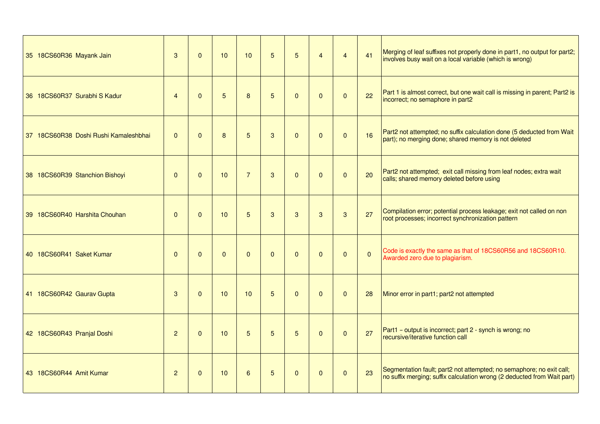| 35 18CS60R36 Mayank Jain              | 3              | $\Omega$     | 10              | 10             | 5        | 5            | $\overline{4}$ | $\overline{4}$ | 41             | Merging of leaf suffixes not properly done in part1, no output for part2;<br>involves busy wait on a local variable (which is wrong)            |
|---------------------------------------|----------------|--------------|-----------------|----------------|----------|--------------|----------------|----------------|----------------|-------------------------------------------------------------------------------------------------------------------------------------------------|
| 36 18CS60R37 Surabhi S Kadur          | $\overline{4}$ | $\Omega$     | 5               | 8              | 5        | $\mathbf{0}$ | $\Omega$       | $\Omega$       | 22             | Part 1 is almost correct, but one wait call is missing in parent; Part2 is<br>incorrect; no semaphore in part2                                  |
| 37 18CS60R38 Doshi Rushi Kamaleshbhai | $\Omega$       | $\Omega$     | 8               | 5              | 3        | $\Omega$     | $\Omega$       | $\Omega$       | 16             | Part2 not attempted; no suffix calculation done (5 deducted from Wait<br>part); no merging done; shared memory is not deleted                   |
| 38 18CS60R39 Stanchion Bishoyi        | $\Omega$       | $\Omega$     | 10 <sup>1</sup> | $\overline{7}$ | 3        | $\Omega$     | $\Omega$       | $\Omega$       | 20             | Part2 not attempted; exit call missing from leaf nodes; extra wait<br>calls; shared memory deleted before using                                 |
| 39 18CS60R40 Harshita Chouhan         | $\mathbf{0}$   | $\Omega$     | 10              | 5              | 3        | 3            | 3              | 3              | 27             | Compilation error; potential process leakage; exit not called on non<br>root processes; incorrect synchronization pattern                       |
| 40 18CS60R41 Saket Kumar              | $\mathbf{0}$   | $\Omega$     | $\Omega$        | $\mathbf{0}$   | $\Omega$ | $\mathbf{0}$ | $\Omega$       | $\Omega$       | $\overline{0}$ | Code is exactly the same as that of 18CS60R56 and 18CS60R10.<br>Awarded zero due to plagiarism.                                                 |
| 41 18CS60R42 Gaurav Gupta             | 3              | $\Omega$     | 10              | 10             | 5        | $\Omega$     | $\Omega$       | $\Omega$       | 28             | Minor error in part1; part2 not attempted                                                                                                       |
| 42 18CS60R43 Pranjal Doshi            | $\overline{2}$ | $\Omega$     | 10              | 5              | 5        | 5            | $\mathbf{0}$   | $\Omega$       | 27             | Part1 - output is incorrect; part 2 - synch is wrong; no<br>recursive/iterative function call                                                   |
| 43 18CS60R44 Amit Kumar               | $\overline{2}$ | $\mathbf{0}$ | 10              | 6              | 5        | $\mathbf{0}$ | $\mathbf{0}$   | $\Omega$       | 23             | Segmentation fault; part2 not attempted; no semaphore; no exit call;<br>no suffix merging; suffix calculation wrong (2 deducted from Wait part) |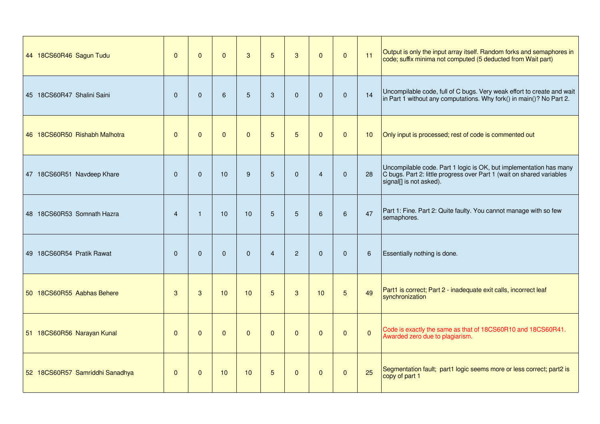| 44 18CS60R46 Sagun Tudu         | $\mathbf{0}$   | $\Omega$     | $\mathbf{0}$    | 3               | 5              | 3              | $\mathbf{0}$   | $\mathbf{0}$ | 11           | Output is only the input array itself. Random forks and semaphores in<br>code; suffix minima not computed (5 deducted from Wait part)                                  |
|---------------------------------|----------------|--------------|-----------------|-----------------|----------------|----------------|----------------|--------------|--------------|------------------------------------------------------------------------------------------------------------------------------------------------------------------------|
| 45 18CS60R47 Shalini Saini      | $\mathbf{0}$   | $\Omega$     | $6\phantom{a}$  | 5               | 3              | $\Omega$       | $\mathbf{0}$   | $\Omega$     | 14           | Uncompilable code, full of C bugs. Very weak effort to create and wait<br>in Part 1 without any computations. Why fork() in main()? No Part 2.                         |
| 46 18CS60R50 Rishabh Malhotra   | $\mathbf{0}$   | $\Omega$     | $\Omega$        | $\Omega$        | 5              | 5              | $\mathbf{0}$   | $\mathbf{0}$ | 10           | Only input is processed; rest of code is commented out                                                                                                                 |
| 47 18CS60R51 Navdeep Khare      | $\Omega$       | $\Omega$     | 10              | 9               | 5              | $\Omega$       | $\overline{4}$ | $\Omega$     | 28           | Uncompilable code. Part 1 logic is OK, but implementation has many<br>C bugs. Part 2: little progress over Part 1 (wait on shared variables<br>signal[] is not asked). |
| 48 18CS60R53 Somnath Hazra      | $\overline{4}$ | $\mathbf 1$  | 10 <sup>1</sup> | 10              | 5              | 5              | 6              | 6            | 47           | Part 1: Fine. Part 2: Quite faulty. You cannot manage with so few<br>semaphores.                                                                                       |
| 49 18CS60R54 Pratik Rawat       | $\mathbf{0}$   | $\Omega$     | $\Omega$        | $\Omega$        | $\overline{4}$ | $\overline{2}$ | $\mathbf{0}$   | $\Omega$     | $\,6\,$      | Essentially nothing is done.                                                                                                                                           |
| 50 18CS60R55 Aabhas Behere      | 3              | 3            | 10              | 10 <sup>1</sup> | 5              | 3              | 10             | 5            | 49           | Part1 is correct; Part 2 - inadequate exit calls, incorrect leaf<br>synchronization                                                                                    |
| 51 18CS60R56 Narayan Kunal      | $\mathbf{0}$   | $\Omega$     | $\Omega$        | $\mathbf{0}$    | $\mathbf{0}$   | $\mathbf{0}$   | $\mathbf{0}$   | $\mathbf{0}$ | $\mathbf{0}$ | Code is exactly the same as that of 18CS60R10 and 18CS60R41.<br>Awarded zero due to plagiarism.                                                                        |
| 52 18CS60R57 Samriddhi Sanadhya | $\mathbf{0}$   | $\mathbf{0}$ | 10              | 10              | 5              | $\mathbf{0}$   | $\mathbf{0}$   | $\mathbf{0}$ | 25           | Segmentation fault; part1 logic seems more or less correct; part2 is<br>copy of part 1                                                                                 |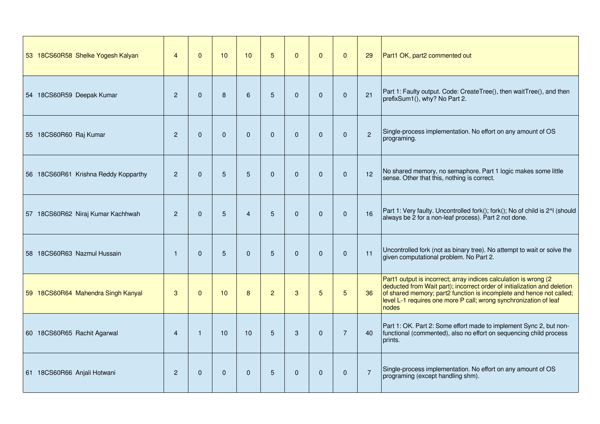| 53 18CS60R58 Shelke Yogesh Kalyan    | $\overline{4}$ | $\Omega$     | 10          | 10             | 5              | $\Omega$ | $\Omega$     | $\Omega$       | 29             | Part1 OK, part2 commented out                                                                                                                                                                                                                                                                      |
|--------------------------------------|----------------|--------------|-------------|----------------|----------------|----------|--------------|----------------|----------------|----------------------------------------------------------------------------------------------------------------------------------------------------------------------------------------------------------------------------------------------------------------------------------------------------|
| 54 18CS60R59 Deepak Kumar            | 2              | $\mathbf{0}$ | 8           | 6              | 5              | $\Omega$ | $\mathbf{0}$ | $\Omega$       | 21             | Part 1: Faulty output. Code: CreateTree(), then waitTree(), and then<br>prefixSum1(), why? No Part 2.                                                                                                                                                                                              |
| 55 18CS60R60 Raj Kumar               | 2              | $\mathbf{0}$ | $\Omega$    | $\mathbf{0}$   | $\Omega$       | $\Omega$ | $\mathbf{0}$ | $\Omega$       | $\overline{c}$ | Single-process implementation. No effort on any amount of OS<br>programing.                                                                                                                                                                                                                        |
| 56 18CS60R61 Krishna Reddy Kopparthy | 2              | $\Omega$     | 5           | 5              | $\mathbf{0}$   | $\Omega$ | $\mathbf{0}$ | $\Omega$       | 12             | No shared memory, no semaphore. Part 1 logic makes some little<br>sense. Other that this, nothing is correct.                                                                                                                                                                                      |
| 57 18CS60R62 Niraj Kumar Kachhwah    | $\overline{c}$ | $\Omega$     | 5           | $\overline{4}$ | 5              | $\Omega$ | $\Omega$     | $\Omega$       | 16             | Part 1: Very faulty. Uncontrolled fork(); fork(); No of child is 2^1 (should<br>always be 2 for a non-leaf process). Part 2 not done.                                                                                                                                                              |
| 58 18CS60R63 Nazmul Hussain          | $\mathbf{1}$   | $\Omega$     | 5           | $\mathbf 0$    | 5              | $\Omega$ | $\mathbf{0}$ | $\Omega$       | 11             | Uncontrolled fork (not as binary tree). No attempt to wait or solve the<br>given computational problem. No Part 2.                                                                                                                                                                                 |
| 59 18CS60R64 Mahendra Singh Kanyal   | 3              | $\mathbf{0}$ | 10          | 8              | $\overline{2}$ | 3        | 5            | 5              | 36             | Part1 output is incorrect; array indices calculation is wrong (2<br>deducted from Wait part); incorrect order of initialization and deletion<br>of shared memory; part2 function is incomplete and hence not called;<br>level L-1 requires one more P call; wrong synchronization of leaf<br>nodes |
| 60 18CS60R65 Rachit Agarwal          | $\overline{4}$ | $\mathbf{1}$ | 10          | 10             | 5              | 3        | $\Omega$     | $\overline{7}$ | 40             | Part 1: OK. Part 2: Some effort made to implement Sync 2, but non-<br>functional (commented), also no effort on sequencing child process<br>prints.                                                                                                                                                |
| 61 18CS60R66 Anjali Hotwani          | 2              | $\mathbf{0}$ | $\mathbf 0$ | $\mathbf{0}$   | 5              | $\Omega$ | $\mathbf{0}$ | $\mathbf{0}$   | $\overline{7}$ | Single-process implementation. No effort on any amount of OS<br>programing (except handling shm).                                                                                                                                                                                                  |